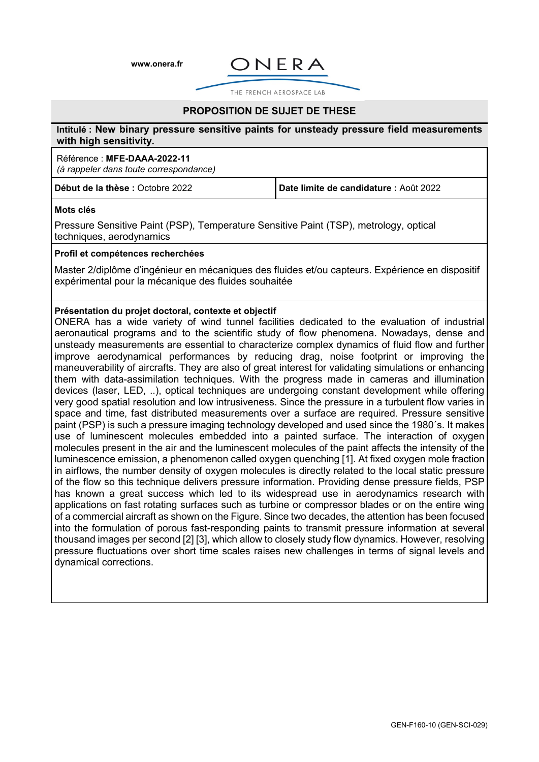**[www.onera.fr](http://www.onera.fr/)**



THE FRENCH AEROSPACE LAB

## **PROPOSITION DE SUJET DE THESE**

#### **Intitulé : New binary pressure sensitive paints for unsteady pressure field measurements with high sensitivity.**

#### Référence : **MFE-DAAA-2022-11**

*(à rappeler dans toute correspondance)*

**Début de la thèse :** Octobre 2022 **Date limite de candidature :** Août 2022

#### **Mots clés**

Pressure Sensitive Paint (PSP), Temperature Sensitive Paint (TSP), metrology, optical techniques, aerodynamics

## **Profil et compétences recherchées**

Master 2/diplôme d'ingénieur en mécaniques des fluides et/ou capteurs. Expérience en dispositif expérimental pour la mécanique des fluides souhaitée

#### **Présentation du projet doctoral, contexte et objectif**

ONERA has a wide variety of wind tunnel facilities dedicated to the evaluation of industrial aeronautical programs and to the scientific study of flow phenomena. Nowadays, dense and unsteady measurements are essential to characterize complex dynamics of fluid flow and further improve aerodynamical performances by reducing drag, noise footprint or improving the maneuverability of aircrafts. They are also of great interest for validating simulations or enhancing them with data-assimilation techniques. With the progress made in cameras and illumination devices (laser, LED, ..), optical techniques are undergoing constant development while offering very good spatial resolution and low intrusiveness. Since the pressure in a turbulent flow varies in space and time, fast distributed measurements over a surface are required. Pressure sensitive paint (PSP) is such a pressure imaging technology developed and used since the 1980´s. It makes use of luminescent molecules embedded into a painted surface. The interaction of oxygen molecules present in the air and the luminescent molecules of the paint affects the intensity of the luminescence emission, a phenomenon called oxygen quenching [1]. At fixed oxygen mole fraction in airflows, the number density of oxygen molecules is directly related to the local static pressure of the flow so this technique delivers pressure information. Providing dense pressure fields, PSP has known a great success which led to its widespread use in aerodynamics research with applications on fast rotating surfaces such as turbine or compressor blades or on the entire wing of a commercial aircraft as shown on the Figure. Since two decades, the attention has been focused into the formulation of porous fast-responding paints to transmit pressure information at several thousand images per second [2] [3], which allow to closely study flow dynamics. However, resolving pressure fluctuations over short time scales raises new challenges in terms of signal levels and dynamical corrections.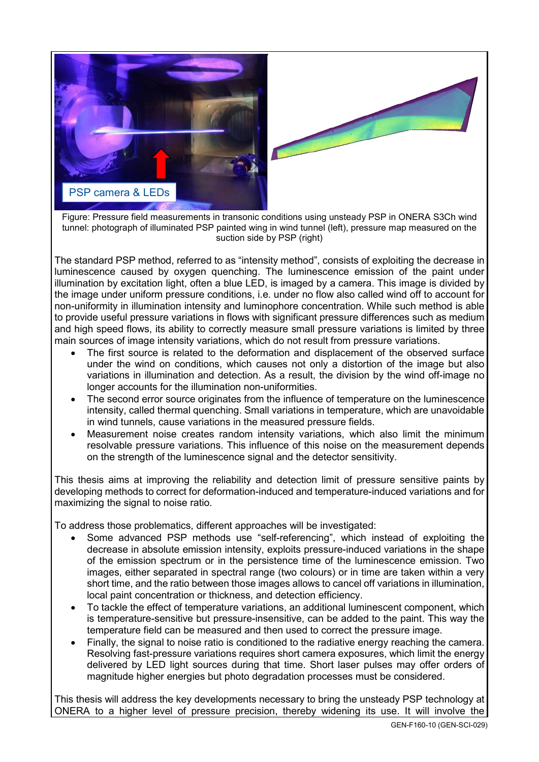

Figure: Pressure field measurements in transonic conditions using unsteady PSP in ONERA S3Ch wind tunnel: photograph of illuminated PSP painted wing in wind tunnel (left), pressure map measured on the suction side by PSP (right)

The standard PSP method, referred to as "intensity method", consists of exploiting the decrease in luminescence caused by oxygen quenching. The luminescence emission of the paint under illumination by excitation light, often a blue LED, is imaged by a camera. This image is divided by the image under uniform pressure conditions, i.e. under no flow also called wind off to account for non-uniformity in illumination intensity and luminophore concentration. While such method is able to provide useful pressure variations in flows with significant pressure differences such as medium and high speed flows, its ability to correctly measure small pressure variations is limited by three main sources of image intensity variations, which do not result from pressure variations.

- The first source is related to the deformation and displacement of the observed surface under the wind on conditions, which causes not only a distortion of the image but also variations in illumination and detection. As a result, the division by the wind off-image no longer accounts for the illumination non-uniformities.
- The second error source originates from the influence of temperature on the luminescence intensity, called thermal quenching. Small variations in temperature, which are unavoidable in wind tunnels, cause variations in the measured pressure fields.
- Measurement noise creates random intensity variations, which also limit the minimum resolvable pressure variations. This influence of this noise on the measurement depends on the strength of the luminescence signal and the detector sensitivity.

This thesis aims at improving the reliability and detection limit of pressure sensitive paints by developing methods to correct for deformation-induced and temperature-induced variations and for maximizing the signal to noise ratio.

To address those problematics, different approaches will be investigated:

- Some advanced PSP methods use "self-referencing", which instead of exploiting the decrease in absolute emission intensity, exploits pressure-induced variations in the shape of the emission spectrum or in the persistence time of the luminescence emission. Two images, either separated in spectral range (two colours) or in time are taken within a very short time, and the ratio between those images allows to cancel off variations in illumination, local paint concentration or thickness, and detection efficiency.
- To tackle the effect of temperature variations, an additional luminescent component, which is temperature-sensitive but pressure-insensitive, can be added to the paint. This way the temperature field can be measured and then used to correct the pressure image.
- Finally, the signal to noise ratio is conditioned to the radiative energy reaching the camera. Resolving fast-pressure variations requires short camera exposures, which limit the energy delivered by LED light sources during that time. Short laser pulses may offer orders of magnitude higher energies but photo degradation processes must be considered.

This thesis will address the key developments necessary to bring the unsteady PSP technology at ONERA to a higher level of pressure precision, thereby widening its use. It will involve the